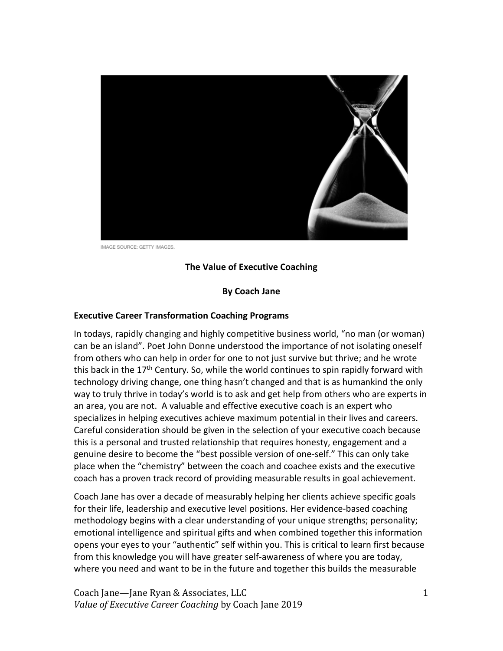

IMAGE SOURCE: GETTY IMAGES.

#### **The Value of Executive Coaching**

#### **By Coach Jane**

#### **Executive Career Transformation Coaching Programs**

In todays, rapidly changing and highly competitive business world, "no man (or woman) can be an island". Poet John Donne understood the importance of not isolating oneself from others who can help in order for one to not just survive but thrive; and he wrote this back in the 17<sup>th</sup> Century. So, while the world continues to spin rapidly forward with technology driving change, one thing hasn't changed and that is as humankind the only way to truly thrive in today's world is to ask and get help from others who are experts in an area, you are not. A valuable and effective executive coach is an expert who specializes in helping executives achieve maximum potential in their lives and careers. Careful consideration should be given in the selection of your executive coach because this is a personal and trusted relationship that requires honesty, engagement and a genuine desire to become the "best possible version of one-self." This can only take place when the "chemistry" between the coach and coachee exists and the executive coach has a proven track record of providing measurable results in goal achievement.

Coach Jane has over a decade of measurably helping her clients achieve specific goals for their life, leadership and executive level positions. Her evidence-based coaching methodology begins with a clear understanding of your unique strengths; personality; emotional intelligence and spiritual gifts and when combined together this information opens your eyes to your "authentic" self within you. This is critical to learn first because from this knowledge you will have greater self-awareness of where you are today, where you need and want to be in the future and together this builds the measurable

Coach Jane—Jane Ryan & Associates, LLC *Value of Executive Career Coaching* by Coach Jane 2019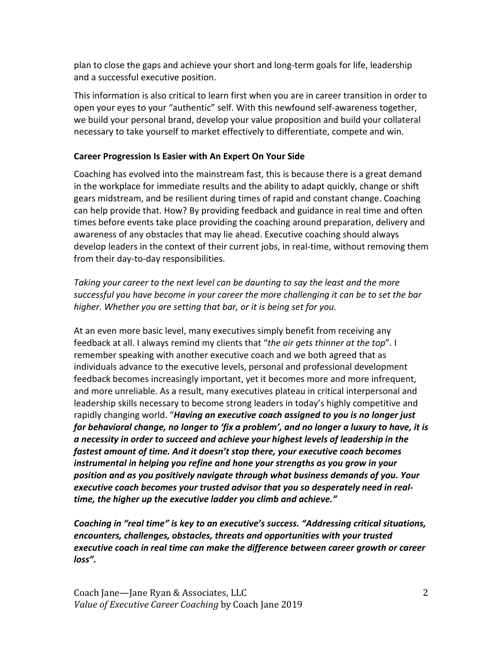plan to close the gaps and achieve your short and long-term goals for life, leadership and a successful executive position.

This information is also critical to learn first when you are in career transition in order to open your eyes to your "authentic" self. With this newfound self-awareness together, we build your personal brand, develop your value proposition and build your collateral necessary to take yourself to market effectively to differentiate, compete and win.

## **Career Progression Is Easier with An Expert On Your Side**

Coaching has evolved into the mainstream fast, this is because there is a great demand in the workplace for immediate results and the ability to adapt quickly, change or shift gears midstream, and be resilient during times of rapid and constant change. Coaching can help provide that. How? By providing feedback and guidance in real time and often times before events take place providing the coaching around preparation, delivery and awareness of any obstacles that may lie ahead. Executive coaching should always develop leaders in the context of their current jobs, in real-time, without removing them from their day-to-day responsibilities.

*Taking your career to the next level can be daunting to say the least and the more successful you have become in your career the more challenging it can be to set the bar higher. Whether you are setting that bar, or it is being set for you.* 

At an even more basic level, many executives simply benefit from receiving any feedback at all. I always remind my clients that "*the air gets thinner at the top*". I remember speaking with another executive coach and we both agreed that as individuals advance to the executive levels, personal and professional development feedback becomes increasingly important, yet it becomes more and more infrequent, and more unreliable. As a result, many executives plateau in critical interpersonal and leadership skills necessary to become strong leaders in today's highly competitive and rapidly changing world. "*Having an executive coach assigned to you is no longer just for behavioral change, no longer to 'fix a problem', and no longer a luxury to have, it is a necessity in order to succeed and achieve your highest levels of leadership in the fastest amount of time. And it doesn't stop there, your executive coach becomes instrumental in helping you refine and hone your strengths as you grow in your position and as you positively navigate through what business demands of you. Your executive coach becomes your trusted advisor that you so desperately need in realtime, the higher up the executive ladder you climb and achieve."* 

*Coaching in "real time" is key to an executive's success. "Addressing critical situations, encounters, challenges, obstacles, threats and opportunities with your trusted executive coach in real time can make the difference between career growth or career loss".*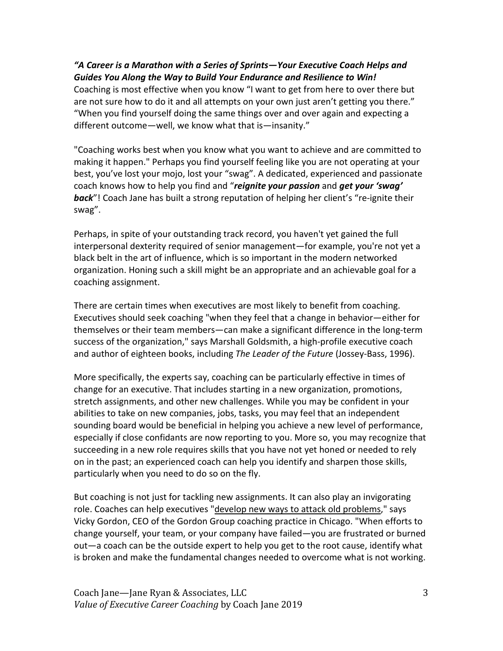## *"A Career is a Marathon with a Series of Sprints—Your Executive Coach Helps and Guides You Along the Way to Build Your Endurance and Resilience to Win!*

Coaching is most effective when you know "I want to get from here to over there but are not sure how to do it and all attempts on your own just aren't getting you there." "When you find yourself doing the same things over and over again and expecting a different outcome—well, we know what that is—insanity."

"Coaching works best when you know what you want to achieve and are committed to making it happen." Perhaps you find yourself feeling like you are not operating at your best, you've lost your mojo, lost your "swag". A dedicated, experienced and passionate coach knows how to help you find and "*reignite your passion* and *get your 'swag' back*"! Coach Jane has built a strong reputation of helping her client's "re-ignite their swag".

Perhaps, in spite of your outstanding track record, you haven't yet gained the full interpersonal dexterity required of senior management—for example, you're not yet a black belt in the art of influence, which is so important in the modern networked organization. Honing such a skill might be an appropriate and an achievable goal for a coaching assignment.

There are certain times when executives are most likely to benefit from coaching. Executives should seek coaching "when they feel that a change in behavior—either for themselves or their team members—can make a significant difference in the long-term success of the organization," says Marshall Goldsmith, a high-profile executive coach and author of eighteen books, including *The Leader of the Future* (Jossey-Bass, 1996).

More specifically, the experts say, coaching can be particularly effective in times of change for an executive. That includes starting in a new organization, promotions, stretch assignments, and other new challenges. While you may be confident in your abilities to take on new companies, jobs, tasks, you may feel that an independent sounding board would be beneficial in helping you achieve a new level of performance, especially if close confidants are now reporting to you. More so, you may recognize that succeeding in a new role requires skills that you have not yet honed or needed to rely on in the past; an experienced coach can help you identify and sharpen those skills, particularly when you need to do so on the fly.

But coaching is not just for tackling new assignments. It can also play an invigorating role. Coaches can help executives "develop new ways to attack old problems," says Vicky Gordon, CEO of the Gordon Group coaching practice in Chicago. "When efforts to change yourself, your team, or your company have failed—you are frustrated or burned out—a coach can be the outside expert to help you get to the root cause, identify what is broken and make the fundamental changes needed to overcome what is not working.

Coach Jane—Jane Ryan & Associates, LLC *Value of Executive Career Coaching* by Coach Jane 2019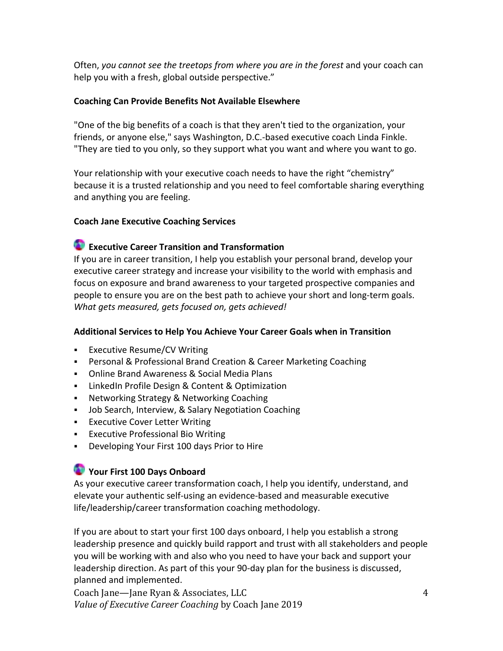Often, *you cannot see the treetops from where you are in the forest* and your coach can help you with a fresh, global outside perspective."

#### **Coaching Can Provide Benefits Not Available Elsewhere**

"One of the big benefits of a coach is that they aren't tied to the organization, your friends, or anyone else," says Washington, D.C.-based executive coach Linda Finkle. "They are tied to you only, so they support what you want and where you want to go.

Your relationship with your executive coach needs to have the right "chemistry" because it is a trusted relationship and you need to feel comfortable sharing everything and anything you are feeling.

## **Coach Jane Executive Coaching Services**

# **Executive Career Transition and Transformation**

If you are in career transition, I help you establish your personal brand, develop your executive career strategy and increase your visibility to the world with emphasis and focus on exposure and brand awareness to your targeted prospective companies and people to ensure you are on the best path to achieve your short and long-term goals. *What gets measured, gets focused on, gets achieved!*

## **Additional Services to Help You Achieve Your Career Goals when in Transition**

- **Executive Resume/CV Writing**
- Personal & Professional Brand Creation & Career Marketing Coaching
- Online Brand Awareness & Social Media Plans
- **EXECT:** LinkedIn Profile Design & Content & Optimization
- **Networking Strategy & Networking Coaching**
- Job Search, Interview, & Salary Negotiation Coaching
- **Executive Cover Letter Writing**
- Executive Professional Bio Writing
- **Developing Your First 100 days Prior to Hire**

# **Your First 100 Days Onboard**

As your executive career transformation coach, I help you identify, understand, and elevate your authentic self-using an evidence-based and measurable executive life/leadership/career transformation coaching methodology.

If you are about to start your first 100 days onboard, I help you establish a strong leadership presence and quickly build rapport and trust with all stakeholders and people you will be working with and also who you need to have your back and support your leadership direction. As part of this your 90-day plan for the business is discussed, planned and implemented.

Coach Jane—Jane Ryan & Associates, LLC *Value of Executive Career Coaching* by Coach Jane 2019